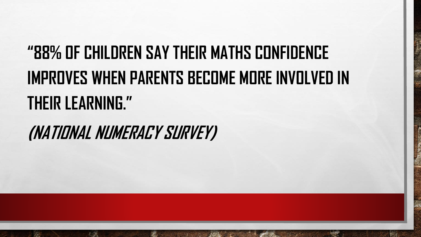## **"88% OF CHILDREN SAY THEIR MATHS CONFIDENCE IMPROVES WHEN PARENTS BECOME MORE INVOLVED IN THEIR LEARNING."**

**(NATIONAL NUMERACY SURVEY)**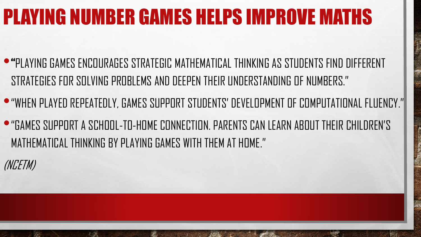### PLAYING NUMBER GAMES HELPS IMPROVE MATHS

- •"PLAYING GAMES ENCOURAGES STRATEGIC MATHEMATICAL THINKING AS STUDENTS FIND DIFFERENT STRATEGIES FOR SOLVING PROBLEMS AND DEEPEN THEIR UNDERSTANDING OF NUMBERS."
- •"WHEN PLAYED REPEATEDLY, GAMES SUPPORT STUDENTS' DEVELOPMENT OF COMPUTATIONAL FLUENCY."
- •"GAMES SUPPORT A SCHOOL-TO-HOME CONNECTION. PARENTS CAN LEARN ABOUT THEIR CHILDREN'S MATHEMATICAL THINKING BY PLAYING GAMES WITH THEM AT HOME."

(NCETM)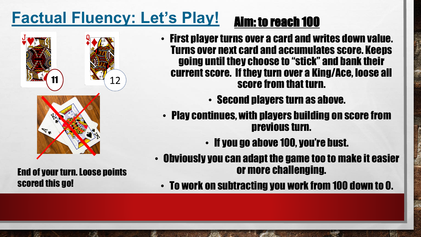### **Factual Fluency: Let's Play!** Aim: to reach 100





End of your turn. Loose points scored this go!

- First player turns over a card and writes down value. Turns over next card and accumulates score. Keeps going until they choose to "stick" and bank their current score. If they turn over a King/Ace, loose all score from that turn.
	- Second players turn as above.
- Play continues, with players building on score from previous turn.
	- If you go above 100, you're bust.
- Obviously you can adapt the game too to make it easier or more challenging.
	- To work on subtracting you work from 100 down to 0.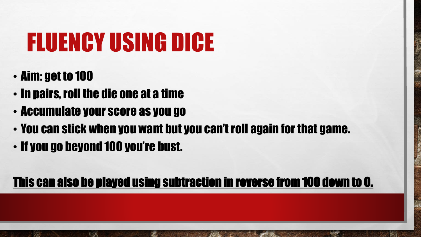# FLUENCY USING DICE

• Aim: get to 100

 $\mathbb{Z}^2$ 

- In pairs, roll the die one at a time
- Accumulate your score as you go
- You can stick when you want but you can't roll again for that game.
- If you go beyond 100 you're bust.

#### This can also be played using subtraction in reverse from 100 down to 0.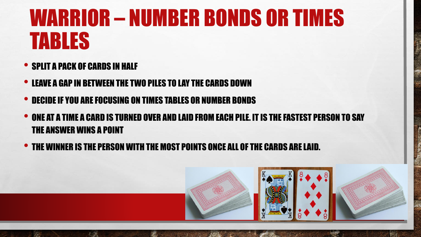# WARRIOR – NUMBER BONDS OR TIMES TABLES

- **SPLIT A PACK OF CARDS IN HALF**
- LEAVE A GAP IN BETWEEN THE TWO PILES TO LAY THE CARDS DOWN
- DECIDE IF YOU ARE FOCUSING ON TIMES TABLES OR NUMBER BONDS
- ONE AT A TIME A CARD IS TURNED OVER AND LAID FROM EACH PILE. IT IS THE FASTEST PERSON TO SAY THE ANSWER WINS A POINT
- THE WINNER IS THE PERSON WITH THE MOST POINTS ONCE ALL OF THE CARDS ARE LAID.